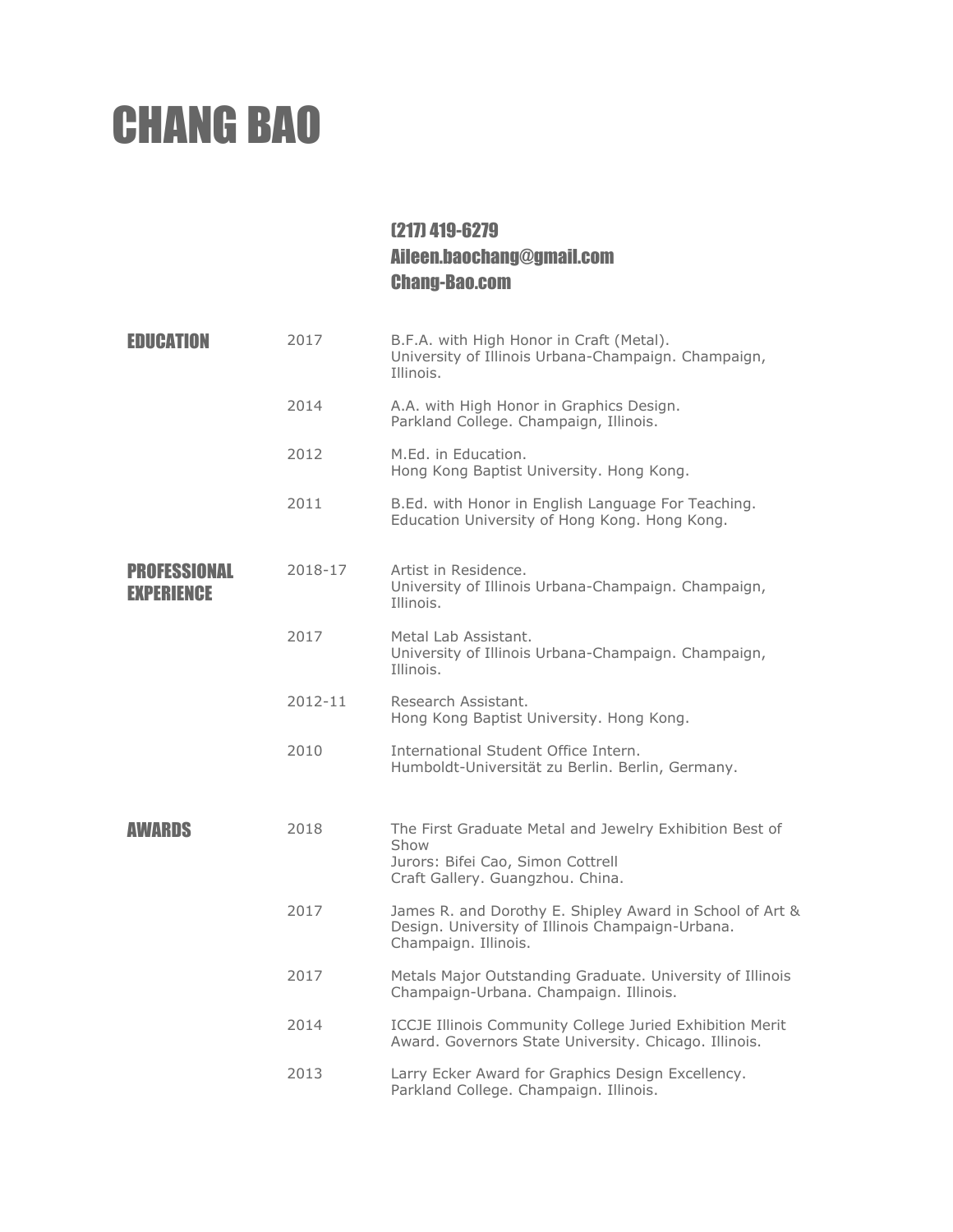## CHANG BAO

## (217) 419-6279 Aileen.baochang@gmail.com Chang-Bao.com

| EDUCATION                                | 2017    | B.F.A. with High Honor in Craft (Metal).<br>University of Illinois Urbana-Champaign. Champaign,<br>Illinois.                             |  |
|------------------------------------------|---------|------------------------------------------------------------------------------------------------------------------------------------------|--|
|                                          | 2014    | A.A. with High Honor in Graphics Design.<br>Parkland College. Champaign, Illinois.                                                       |  |
|                                          | 2012    | M.Ed. in Education.<br>Hong Kong Baptist University. Hong Kong.                                                                          |  |
|                                          | 2011    | B.Ed. with Honor in English Language For Teaching.<br>Education University of Hong Kong. Hong Kong.                                      |  |
| <b>PROFESSIONAL</b><br><b>EXPERIENCE</b> | 2018-17 | Artist in Residence.<br>University of Illinois Urbana-Champaign. Champaign,<br>Illinois.                                                 |  |
|                                          | 2017    | Metal Lab Assistant.<br>University of Illinois Urbana-Champaign. Champaign,<br>Illinois.                                                 |  |
|                                          | 2012-11 | Research Assistant.<br>Hong Kong Baptist University. Hong Kong.                                                                          |  |
|                                          | 2010    | International Student Office Intern.<br>Humboldt-Universität zu Berlin. Berlin, Germany.                                                 |  |
| AWARDS                                   | 2018    | The First Graduate Metal and Jewelry Exhibition Best of<br>Show<br>Jurors: Bifei Cao, Simon Cottrell<br>Craft Gallery. Guangzhou. China. |  |
|                                          | 2017    | James R. and Dorothy E. Shipley Award in School of Art &<br>Design. University of Illinois Champaign-Urbana.<br>Champaign. Illinois.     |  |
|                                          | 2017    | Metals Major Outstanding Graduate. University of Illinois<br>Champaign-Urbana. Champaign. Illinois.                                      |  |
|                                          | 2014    | <b>ICCJE Illinois Community College Juried Exhibition Merit</b><br>Award. Governors State University. Chicago. Illinois.                 |  |
|                                          | 2013    | Larry Ecker Award for Graphics Design Excellency.<br>Parkland College. Champaign. Illinois.                                              |  |